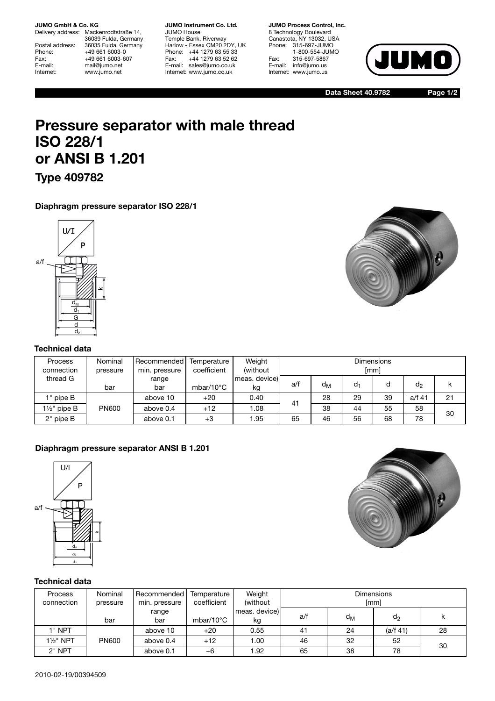#### **JUMO GmbH & Co. KG**

Delivery address: Mackenrodtstraße 14, 36039 Fulda, Germany Postal address: 36035 Fulda, Germany<br>Phone: +49 661 6003-0 Phone: +49 661 6003-0<br>Fax: +49 661 6003-6 Fax: +49 661 6003-607<br>
E-mail: +49 661 6003-607 E-mail: mail@jumo.net<br>
Internet: www.jumo.net www.jumo.net

**JUMO Instrument Co. Ltd.** JUMO House Temple Bank, Riverway Harlow - Essex CM20 2DY, UK Phone: +44 1279 63 55 33 Fax: +44 1279 63 52 62 E-mail: sales@jumo.co.uk Internet: www.jumo.co.uk

**JUMO Process Control, Inc.** 8 Technology Boulevard Canastota, NY 13032, USA Phone: 315-697-JUMO 1-800-554-JUMO Fax: 315-697-5867 E-mail: info@jumo.us Internet: www.jumo.us



**Data Sheet 40.9782**

**Page 1/2**

# **Pressure separator with male thread ISO 228/1 or ANSI B 1.201**

**Type 409782**

# **Diaphragm pressure separator ISO 228/1**



### **Technical data**

| <b>Process</b><br>connection | Nominal<br>pressure | Recommended<br>min. pressure | Temperature<br>coefficient | Weight<br>(without) | <b>Dimensions</b><br>[mm] |                |    |    |                |    |
|------------------------------|---------------------|------------------------------|----------------------------|---------------------|---------------------------|----------------|----|----|----------------|----|
| thread G                     | bar                 | range<br>bar                 | mbar/10 $\degree$ C        | meas. device)<br>kg | a/f                       | d <sub>M</sub> | d, | d  | d <sub>2</sub> |    |
| 1" pipe B                    |                     | above 10                     | $+20$                      | 0.40                | 4 <sup>1</sup>            | 28             | 29 | 39 | a/f 41         | 21 |
| 11/2" pipe B                 | <b>PN600</b>        | above 0.4                    | $+12$                      | 1.08                |                           | 38             | 44 | 55 | 58             | 30 |
| 2" pipe B                    |                     | above 0.1                    | $+3$                       | 1.95                | 65                        | 46             | 56 | 68 | 78             |    |

# **Diaphragm pressure separator ANSI B 1.201**





# **Technical data**

| Process<br>connection | Nominal<br>pressure | Recommended<br>min. pressure | Temperature<br>coefficient | Weight<br>(without) | <b>Dimensions</b><br><i>[mm]</i> |                |                |    |
|-----------------------|---------------------|------------------------------|----------------------------|---------------------|----------------------------------|----------------|----------------|----|
|                       | bar                 | range<br>bar                 | mbar/10 $\degree$ C        | meas. device)<br>kg | a/f                              | d <sub>M</sub> | d <sub>2</sub> | ĸ  |
| $1"$ NPT              |                     | above 10                     | $+20$                      | 0.55                | 41                               | 24             | (a/f 41)       | 28 |
| 1½" NPT               | <b>PN600</b>        | above 0.4                    | $+12$                      | 1.00                | 46                               | 32             | 52             | 30 |
| $2"$ NPT              |                     | above 0.1                    | $+6$                       | 1.92                | 65                               | 38             | 78             |    |